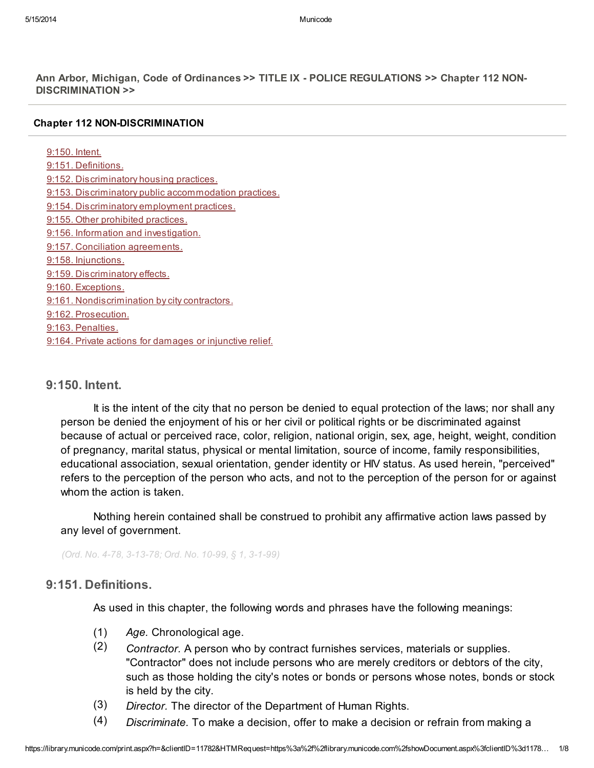Ann Arbor, Michigan, Code of [Ordinances](https://library.municode.com/HTML/11782/book.html) >> TITLE IX - POLICE [REGULATIONS](https://library.municode.com/HTML/11782/level1/TITIXPORE.html) >> Chapter 112 NON-[DISCRIMINATION](https://library.municode.com/HTML/11782/level2/TITIXPORE_CH112NSC.html) >>

#### Chapter 112 NON-DISCRIMINATIO[N](javascript:void(0))

| 9:150. Intent.                                           |
|----------------------------------------------------------|
| 9:151. Definitions.                                      |
| 9:152. Discriminatory housing practices.                 |
| 9:153. Discriminatory public accommodation practices.    |
| 9:154. Discriminatory employment practices.              |
| 9:155. Other prohibited practices.                       |
| 9:156. Information and investigation.                    |
| 9:157. Conciliation agreements.                          |
| 9:158. Injunctions.                                      |
| 9:159. Discriminatory effects.                           |
| 9:160. Exceptions.                                       |
| 9:161. Nondiscrimination by city contractors.            |
| 9:162. Prosecution.                                      |
| 9:163. Penalties.                                        |
| 9:164. Private actions for damages or injunctive relief. |
|                                                          |

### <span id="page-0-0"></span>9:150. Intent[.](javascript:void(0))

It is the intent of the city that no person be denied to equal protection of the laws; nor shall any person be denied the enjoyment of his or her civil or political rights or be discriminated against because of actual or perceived race, color, religion, national origin, sex, age, height, weight, condition of pregnancy, marital status, physical or mental limitation, source of income, family responsibilities, educational association, sexual orientation, gender identity or HIV status. As used herein, "perceived" refers to the perception of the person who acts, and not to the perception of the person for or against whom the action is taken.

Nothing herein contained shall be construed to prohibit any affirmative action laws passed by any level of government.

(Ord. No. 4-78, 3-13-78; Ord. No. 10-99, § 1, 3-1-99)

#### <span id="page-0-1"></span>9:151. Definitions[.](javascript:void(0))

As used in this chapter, the following words and phrases have the following meanings:

- (1) Age. Chronological age.
- (2) Contractor. A person who by contract furnishes services, materials or supplies. "Contractor" does not include persons who are merely creditors or debtors of the city, such as those holding the city's notes or bonds or persons whose notes, bonds or stock is held by the city.
- (3) Director. The director of the Department of Human Rights.
- (4) Discriminate. To make a decision, offer to make a decision or refrain from making a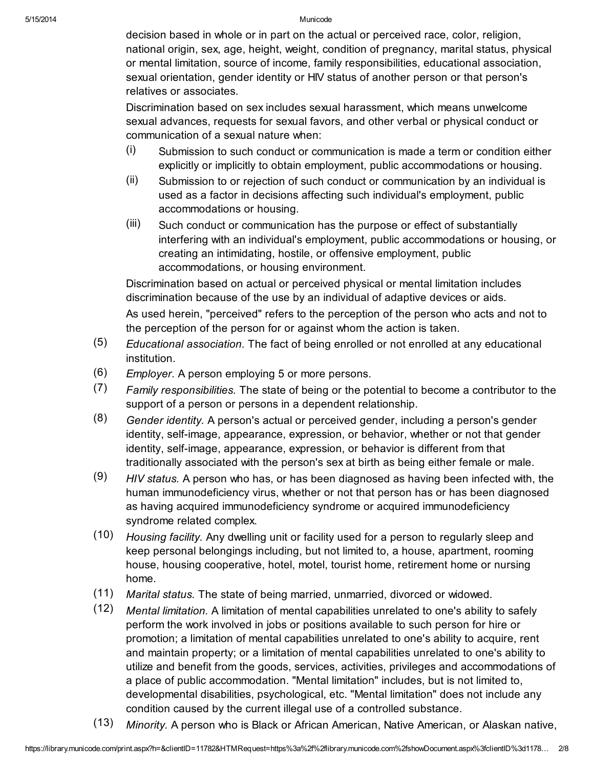decision based in whole or in part on the actual or perceived race, color, religion, national origin, sex, age, height, weight, condition of pregnancy, marital status, physical or mental limitation, source of income, family responsibilities, educational association, sexual orientation, gender identity or HIV status of another person or that person's relatives or associates.

Discrimination based on sex includes sexual harassment, which means unwelcome sexual advances, requests for sexual favors, and other verbal or physical conduct or communication of a sexual nature when:

- (i) Submission to such conduct or communication is made a term or condition either explicitly or implicitly to obtain employment, public accommodations or housing.
- (ii) Submission to or rejection of such conduct or communication by an individual is used as a factor in decisions affecting such individual's employment, public accommodations or housing.
- (iii) Such conduct or communication has the purpose or effect of substantially interfering with an individual's employment, public accommodations or housing, or creating an intimidating, hostile, or offensive employment, public accommodations, or housing environment.

Discrimination based on actual or perceived physical or mental limitation includes discrimination because of the use by an individual of adaptive devices or aids. As used herein, "perceived" refers to the perception of the person who acts and not to the perception of the person for or against whom the action is taken.

- (5) Educational association. The fact of being enrolled or not enrolled at any educational institution.
- (6) Employer. A person employing 5 or more persons.
- (7) Family responsibilities. The state of being or the potential to become a contributor to the support of a person or persons in a dependent relationship.
- (8) Gender identity. A person's actual or perceived gender, including a person's gender identity, self-image, appearance, expression, or behavior, whether or not that gender identity, self-image, appearance, expression, or behavior is different from that traditionally associated with the person's sex at birth as being either female or male.
- (9) HIV status. A person who has, or has been diagnosed as having been infected with, the human immunodeficiency virus, whether or not that person has or has been diagnosed as having acquired immunodeficiency syndrome or acquired immunodeficiency syndrome related complex.
- (10) Housing facility. Any dwelling unit or facility used for a person to regularly sleep and keep personal belongings including, but not limited to, a house, apartment, rooming house, housing cooperative, hotel, motel, tourist home, retirement home or nursing home.
- (11) Marital status. The state of being married, unmarried, divorced or widowed.
- (12) Mental limitation. A limitation of mental capabilities unrelated to one's ability to safely perform the work involved in jobs or positions available to such person for hire or promotion; a limitation of mental capabilities unrelated to one's ability to acquire, rent and maintain property; or a limitation of mental capabilities unrelated to one's ability to utilize and benefit from the goods, services, activities, privileges and accommodations of a place of public accommodation. "Mental limitation" includes, but is not limited to, developmental disabilities, psychological, etc. "Mental limitation" does not include any condition caused by the current illegal use of a controlled substance.
- (13) Minority. A person who is Black or African American, Native American, or Alaskan native,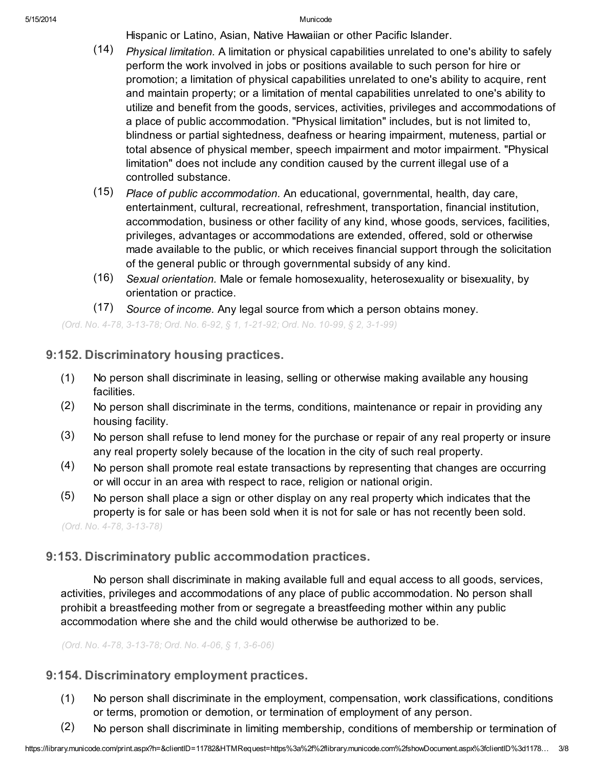Hispanic or Latino, Asian, Native Hawaiian or other Pacific Islander.

- (14) Physical limitation. A limitation or physical capabilities unrelated to one's ability to safely perform the work involved in jobs or positions available to such person for hire or promotion; a limitation of physical capabilities unrelated to one's ability to acquire, rent and maintain property; or a limitation of mental capabilities unrelated to one's ability to utilize and benefit from the goods, services, activities, privileges and accommodations of a place of public accommodation. "Physical limitation" includes, but is not limited to, blindness or partial sightedness, deafness or hearing impairment, muteness, partial or total absence of physical member, speech impairment and motor impairment. "Physical limitation" does not include any condition caused by the current illegal use of a controlled substance.
- (15) Place of public accommodation. An educational, governmental, health, day care, entertainment, cultural, recreational, refreshment, transportation, financial institution, accommodation, business or other facility of any kind, whose goods, services, facilities, privileges, advantages or accommodations are extended, offered, sold or otherwise made available to the public, or which receives financial support through the solicitation of the general public or through governmental subsidy of any kind.
- (16) Sexual orientation. Male or female homosexuality, heterosexuality or bisexuality, by orientation or practice.
- (17) Source of income. Any legal source from which a person obtains money.

(Ord. No. 4-78, 3-13-78; Ord. No. 6-92, § 1, 1-21-92; Ord. No. 10-99, § 2, 3-1-99)

### <span id="page-2-0"></span>9:152. Discriminatory housing practices[.](javascript:void(0))

- (1) No person shall discriminate in leasing, selling or otherwise making available any housing facilities.
- (2) No person shall discriminate in the terms, conditions, maintenance or repair in providing any housing facility.
- (3) No person shall refuse to lend money for the purchase or repair of any real property or insure any real property solely because of the location in the city of such real property.
- (4) No person shall promote real estate transactions by representing that changes are occurring or will occur in an area with respect to race, religion or national origin.
- (5) No person shall place a sign or other display on any real property which indicates that the property is for sale or has been sold when it is not for sale or has not recently been sold.

(Ord. No. 4-78, 3-13-78)

## <span id="page-2-1"></span>9:153. Discriminatory public accommodation practices[.](javascript:void(0))

No person shall discriminate in making available full and equal access to all goods, services, activities, privileges and accommodations of any place of public accommodation. No person shall prohibit a breastfeeding mother from or segregate a breastfeeding mother within any public accommodation where she and the child would otherwise be authorized to be.

(Ord. No. 4-78, 3-13-78; Ord. No. 4-06, § 1, 3-6-06)

## <span id="page-2-2"></span>9:154. Discriminatory employment practices[.](javascript:void(0))

- (1) No person shall discriminate in the employment, compensation, work classifications, conditions or terms, promotion or demotion, or termination of employment of any person.
- (2) No person shall discriminate in limiting membership, conditions of membership or termination of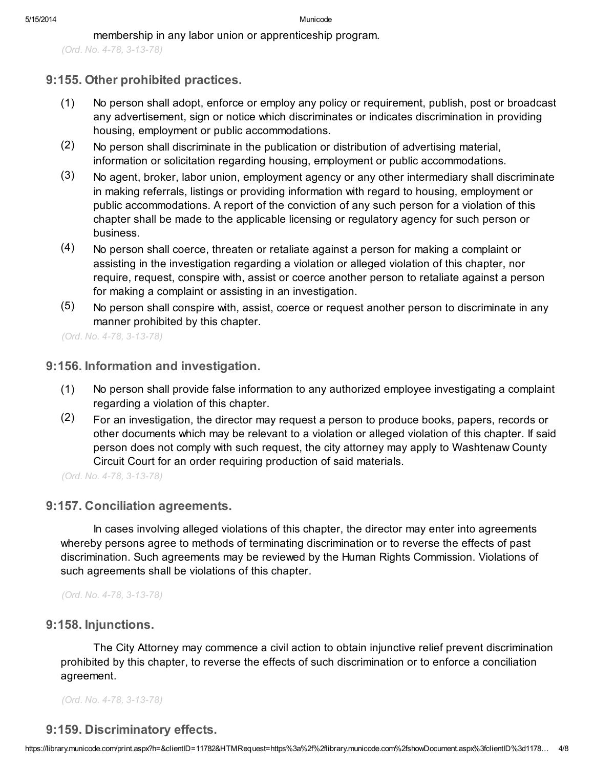membership in any labor union or apprenticeship program.

(Ord. No. 4-78, 3-13-78)

## <span id="page-3-0"></span>9:155. Other prohibited practices[.](javascript:void(0))

- (1) No person shall adopt, enforce or employ any policy or requirement, publish, post or broadcast any advertisement, sign or notice which discriminates or indicates discrimination in providing housing, employment or public accommodations.
- (2) No person shall discriminate in the publication or distribution of advertising material, information or solicitation regarding housing, employment or public accommodations.
- (3) No agent, broker, labor union, employment agency or any other intermediary shall discriminate in making referrals, listings or providing information with regard to housing, employment or public accommodations. A report of the conviction of any such person for a violation of this chapter shall be made to the applicable licensing or regulatory agency for such person or business.
- (4) No person shall coerce, threaten or retaliate against a person for making a complaint or assisting in the investigation regarding a violation or alleged violation of this chapter, nor require, request, conspire with, assist or coerce another person to retaliate against a person for making a complaint or assisting in an investigation.
- (5) No person shall conspire with, assist, coerce or request another person to discriminate in any manner prohibited by this chapter.

(Ord. No. 4-78, 3-13-78)

## <span id="page-3-1"></span>9:156. Information and investigation[.](javascript:void(0))

- (1) No person shall provide false information to any authorized employee investigating a complaint regarding a violation of this chapter.
- (2) For an investigation, the director may request a person to produce books, papers, records or other documents which may be relevant to a violation or alleged violation of this chapter. If said person does not comply with such request, the city attorney may apply to Washtenaw County Circuit Court for an order requiring production of said materials.

(Ord. No. 4-78, 3-13-78)

# <span id="page-3-2"></span>9:157. Conciliation agreements[.](javascript:void(0))

In cases involving alleged violations of this chapter, the director may enter into agreements whereby persons agree to methods of terminating discrimination or to reverse the effects of past discrimination. Such agreements may be reviewed by the Human Rights Commission. Violations of such agreements shall be violations of this chapter.

(Ord. No. 4-78, 3-13-78)

# <span id="page-3-3"></span>9:158. Injunctions[.](javascript:void(0))

The City Attorney may commence a civil action to obtain injunctive relief prevent discrimination prohibited by this chapter, to reverse the effects of such discrimination or to enforce a conciliation agreement.

(Ord. No. 4-78, 3-13-78)

# <span id="page-3-4"></span>9:159. Discriminatory effects.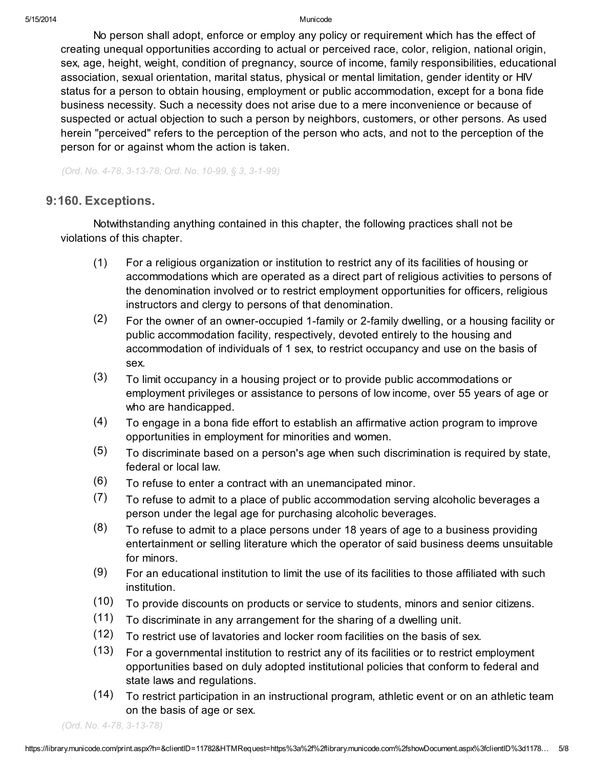No person shall adopt, enforce or employ any policy or requirement which has the effect of creating unequal opportunities according to actual or perceived race, color, religion, national origin, sex, age, height, weight, condition of pregnancy, source of income, family responsibilities, educational association, sexual orientation, marital status, physical or mental limitation, gender identity or HIV status for a person to obtain housing, employment or public accommodation, except for a bona fide business necessity. Such a necessity does not arise due to a mere inconvenience or because of suspected or actual objection to such a person by neighbors, customers, or other persons. As used herein "perceived" refers to the perception of the person who acts, and not to the perception of the person for or against whom the action is taken.

(Ord. No. 4-78, 3-13-78; Ord. No. 10-99, § 3, 3-1-99)

### <span id="page-4-0"></span>9:160. Exceptions.

Notwithstanding anything contained in this chapter, the following practices shall not be violations of this chapter.

- (1) For a religious organization or institution to restrict any of its facilities of housing or accommodations which are operated as a direct part of religious activities to persons of the denomination involved or to restrict employment opportunities for officers, religious instructors and clergy to persons of that denomination.
- (2) For the owner of an owner-occupied 1-family or 2-family dwelling, or a housing facility or public accommodation facility, respectively, devoted entirely to the housing and accommodation of individuals of 1 sex, to restrict occupancy and use on the basis of sex.
- (3) To limit occupancy in a housing project or to provide public accommodations or employment privileges or assistance to persons of low income, over 55 years of age or who are handicapped.
- (4) To engage in a bona fide effort to establish an affirmative action program to improve opportunities in employment for minorities and women.
- (5) To discriminate based on a person's age when such discrimination is required by state, federal or local law.
- (6) To refuse to enter a contract with an unemancipated minor.
- (7) To refuse to admit to a place of public accommodation serving alcoholic beverages a person under the legal age for purchasing alcoholic beverages.
- (8) To refuse to admit to a place persons under 18 years of age to a business providing entertainment or selling literature which the operator of said business deems unsuitable for minors.
- (9) For an educational institution to limit the use of its facilities to those affiliated with such institution.
- (10) To provide discounts on products or service to students, minors and senior citizens.
- (11) To discriminate in any arrangement for the sharing of a dwelling unit.
- (12) To restrict use of lavatories and locker room facilities on the basis of sex.
- (13) For a governmental institution to restrict any of its facilities or to restrict employment opportunities based on duly adopted institutional policies that conform to federal and state laws and regulations.
- (14) To restrict participation in an instructional program, athletic event or on an athletic team on the basis of age or sex.

(Ord. No. 4-78, 3-13-78)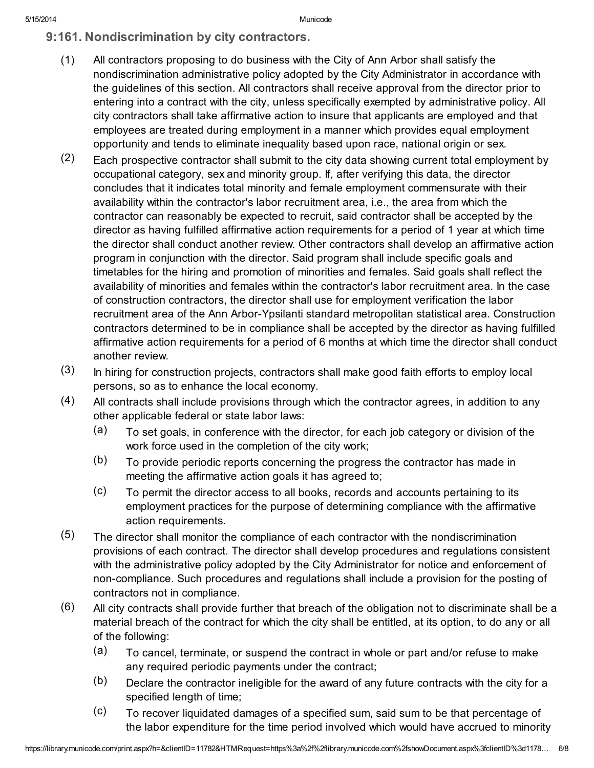## <span id="page-5-0"></span>9:161. Nondiscrimination by city contractors[.](javascript:void(0))

- (1) All contractors proposing to do business with the City of Ann Arbor shall satisfy the nondiscrimination administrative policy adopted by the City Administrator in accordance with the guidelines of this section. All contractors shall receive approval from the director prior to entering into a contract with the city, unless specifically exempted by administrative policy. All city contractors shall take affirmative action to insure that applicants are employed and that employees are treated during employment in a manner which provides equal employment opportunity and tends to eliminate inequality based upon race, national origin or sex.
- (2) Each prospective contractor shall submit to the city data showing current total employment by occupational category, sex and minority group. If, after verifying this data, the director concludes that it indicates total minority and female employment commensurate with their availability within the contractor's labor recruitment area, i.e., the area from which the contractor can reasonably be expected to recruit, said contractor shall be accepted by the director as having fulfilled affirmative action requirements for a period of 1 year at which time the director shall conduct another review. Other contractors shall develop an affirmative action program in conjunction with the director. Said program shall include specific goals and timetables for the hiring and promotion of minorities and females. Said goals shall reflect the availability of minorities and females within the contractor's labor recruitment area. In the case of construction contractors, the director shall use for employment verification the labor recruitment area of the Ann Arbor-Ypsilanti standard metropolitan statistical area. Construction contractors determined to be in compliance shall be accepted by the director as having fulfilled affirmative action requirements for a period of 6 months at which time the director shall conduct another review.
- (3) In hiring for construction projects, contractors shall make good faith efforts to employ local persons, so as to enhance the local economy.
- (4) All contracts shall include provisions through which the contractor agrees, in addition to any other applicable federal or state labor laws:
	- (a) To set goals, in conference with the director, for each job category or division of the work force used in the completion of the city work;
	- (b) To provide periodic reports concerning the progress the contractor has made in meeting the affirmative action goals it has agreed to;
	- (c) To permit the director access to all books, records and accounts pertaining to its employment practices for the purpose of determining compliance with the affirmative action requirements.
- (5) The director shall monitor the compliance of each contractor with the nondiscrimination provisions of each contract. The director shall develop procedures and regulations consistent with the administrative policy adopted by the City Administrator for notice and enforcement of non-compliance. Such procedures and regulations shall include a provision for the posting of contractors not in compliance.
- (6) All city contracts shall provide further that breach of the obligation not to discriminate shall be a material breach of the contract for which the city shall be entitled, at its option, to do any or all of the following:
	- (a) To cancel, terminate, or suspend the contract in whole or part and/or refuse to make any required periodic payments under the contract;
	- (b) Declare the contractor ineligible for the award of any future contracts with the city for a specified length of time;
	- (c) To recover liquidated damages of a specified sum, said sum to be that percentage of the labor expenditure for the time period involved which would have accrued to minority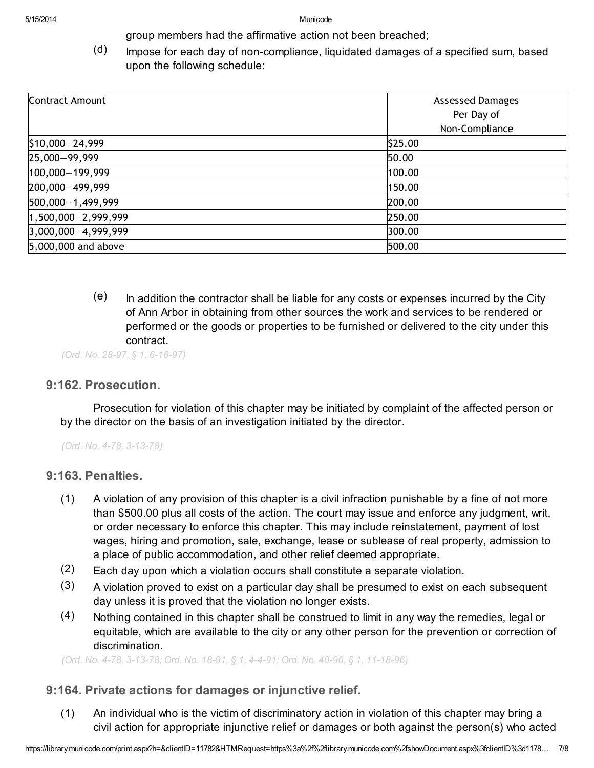- group members had the affirmative action not been breached;
- (d) Impose for each day of non-compliance, liquidated damages of a specified sum, based upon the following schedule:

| <b>Contract Amount</b>    | <b>Assessed Damages</b> |
|---------------------------|-------------------------|
|                           | Per Day of              |
|                           | Non-Compliance          |
| \$10,000-24,999           | \$25.00                 |
| 25,000-99,999             | 50.00                   |
| 100,000-199,999           | 100.00                  |
| 200,000-499,999           | 150.00                  |
| 500,000-1,499,999         | 200.00                  |
| $1,500,000 - 2,999,999$   | 250.00                  |
| $[3,000,000 - 4,999,999]$ | 300.00                  |
| 5,000,000 and above       | 500.00                  |

(e) In addition the contractor shall be liable for any costs or expenses incurred by the City of Ann Arbor in obtaining from other sources the work and services to be rendered or performed or the goods or properties to be furnished or delivered to the city under this contract.

(Ord. No. 28-97, § 1, 6-16-97)

#### <span id="page-6-0"></span>9:162. Prosecution[.](javascript:void(0))

Prosecution for violation of this chapter may be initiated by complaint of the affected person or by the director on the basis of an investigation initiated by the director.

(Ord. No. 4-78, 3-13-78)

#### <span id="page-6-1"></span>9:163. Penalties[.](javascript:void(0))

- (1) A violation of any provision of this chapter is a civil infraction punishable by a fine of not more than \$500.00 plus all costs of the action. The court may issue and enforce any judgment, writ, or order necessary to enforce this chapter. This may include reinstatement, payment of lost wages, hiring and promotion, sale, exchange, lease or sublease of real property, admission to a place of public accommodation, and other relief deemed appropriate.
- (2) Each day upon which a violation occurs shall constitute a separate violation.
- (3) A violation proved to exist on a particular day shall be presumed to exist on each subsequent day unless it is proved that the violation no longer exists.
- (4) Nothing contained in this chapter shall be construed to limit in any way the remedies, legal or equitable, which are available to the city or any other person for the prevention or correction of discrimination.

(Ord. No. 4-78, 3-13-78; Ord. No. 18-91, § 1, 4-4-91; Ord. No. 40-96, § 1, 11-18-96)

#### <span id="page-6-2"></span>9:164. Private actions for damages or injunctive relief[.](javascript:void(0))

(1) An individual who is the victim of discriminatory action in violation of this chapter may bring a civil action for appropriate injunctive relief or damages or both against the person(s) who acted